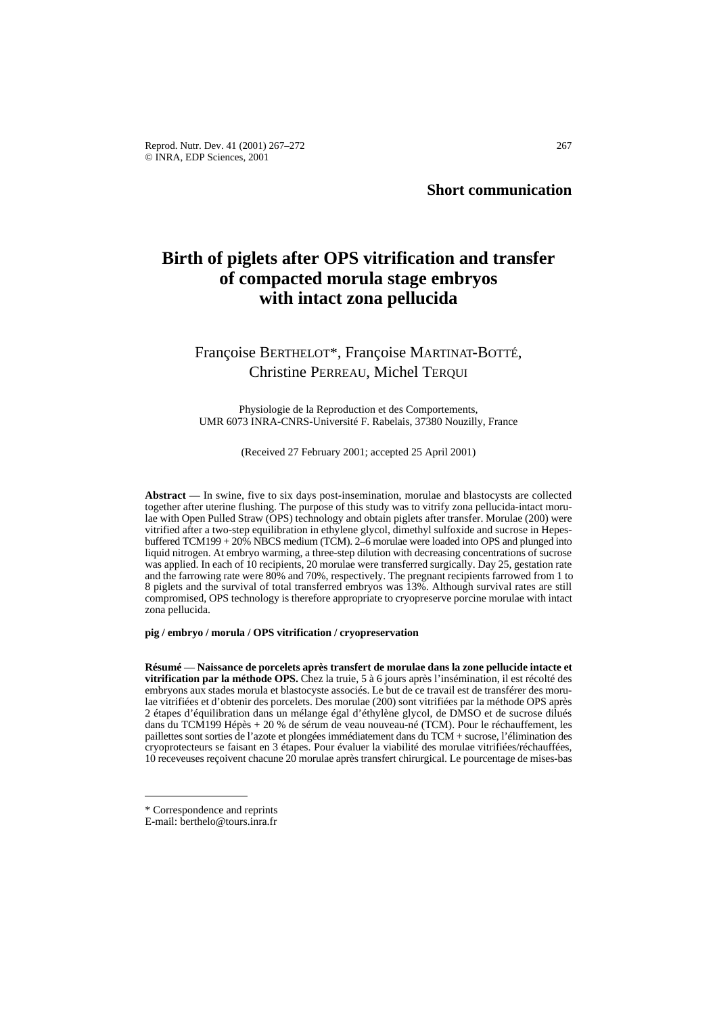**Short communication**

# **Birth of piglets after OPS vitrification and transfer of compacted morula stage embryos with intact zona pellucida**

## Françoise BERTHELOT\*, Françoise MARTINAT-BOTTÉ, Christine PERREAU, Michel TERQUI

Physiologie de la Reproduction et des Comportements, UMR 6073 INRA-CNRS-Université F. Rabelais, 37380 Nouzilly, France

(Received 27 February 2001; accepted 25 April 2001)

**Abstract** — In swine, five to six days post-insemination, morulae and blastocysts are collected together after uterine flushing. The purpose of this study was to vitrify zona pellucida-intact morulae with Open Pulled Straw (OPS) technology and obtain piglets after transfer. Morulae (200) were vitrified after a two-step equilibration in ethylene glycol, dimethyl sulfoxide and sucrose in Hepesbuffered TCM199 + 20% NBCS medium (TCM). 2–6 morulae were loaded into OPS and plunged into liquid nitrogen. At embryo warming, a three-step dilution with decreasing concentrations of sucrose was applied. In each of 10 recipients, 20 morulae were transferred surgically. Day 25, gestation rate and the farrowing rate were 80% and 70%, respectively. The pregnant recipients farrowed from 1 to 8 piglets and the survival of total transferred embryos was 13%. Although survival rates are still compromised, OPS technology is therefore appropriate to cryopreserve porcine morulae with intact zona pellucida.

**pig / embryo / morula / OPS vitrification / cryopreservation**

**Résumé** — **Naissance de porcelets après transfert de morulae dans la zone pellucide intacte et vitrification par la méthode OPS.** Chez la truie, 5 à 6 jours après l'insémination, il est récolté des embryons aux stades morula et blastocyste associés. Le but de ce travail est de transférer des morulae vitrifiées et d'obtenir des porcelets. Des morulae (200) sont vitrifiées par la méthode OPS après 2 étapes d'équilibration dans un mélange égal d'éthylène glycol, de DMSO et de sucrose dilués dans du TCM199 Hépès + 20 % de sérum de veau nouveau-né (TCM). Pour le réchauffement, les paillettes sont sorties de l'azote et plongées immédiatement dans du TCM + sucrose, l'élimination des cryoprotecteurs se faisant en 3 étapes. Pour évaluer la viabilité des morulae vitrifiées/réchauffées, 10 receveuses reçoivent chacune 20 morulae après transfert chirurgical. Le pourcentage de mises-bas

<sup>\*</sup> Correspondence and reprints

E-mail: berthelo@tours.inra.fr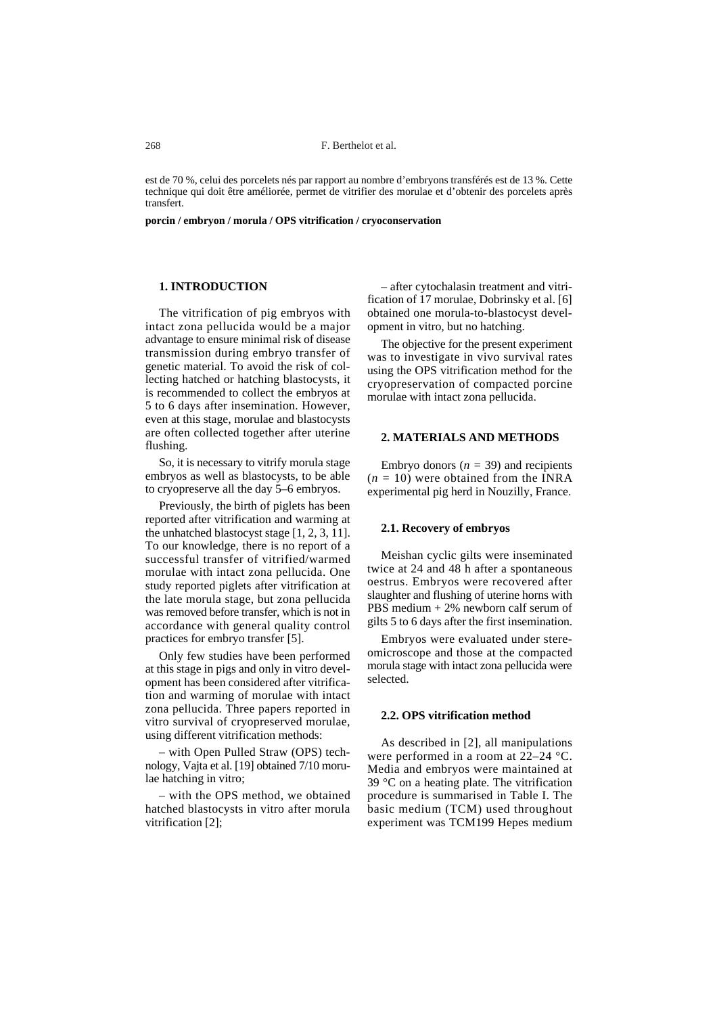est de 70 %, celui des porcelets nés par rapport au nombre d'embryons transférés est de 13 %. Cette technique qui doit être améliorée, permet de vitrifier des morulae et d'obtenir des porcelets après transfert.

**porcin / embryon / morula / OPS vitrification / cryoconservation**

## **1. INTRODUCTION**

The vitrification of pig embryos with intact zona pellucida would be a major advantage to ensure minimal risk of disease transmission during embryo transfer of genetic material. To avoid the risk of collecting hatched or hatching blastocysts, it is recommended to collect the embryos at 5 to 6 days after insemination. However, even at this stage, morulae and blastocysts are often collected together after uterine flushing.

So, it is necessary to vitrify morula stage embryos as well as blastocysts, to be able to cryopreserve all the day 5–6 embryos.

Previously, the birth of piglets has been reported after vitrification and warming at the unhatched blastocyst stage [1, 2, 3, 11]. To our knowledge, there is no report of a successful transfer of vitrified/warmed morulae with intact zona pellucida. One study reported piglets after vitrification at the late morula stage, but zona pellucida was removed before transfer, which is not in accordance with general quality control practices for embryo transfer [5].

Only few studies have been performed at this stage in pigs and only in vitro development has been considered after vitrification and warming of morulae with intact zona pellucida. Three papers reported in vitro survival of cryopreserved morulae, using different vitrification methods:

– with Open Pulled Straw (OPS) technology, Vajta et al. [19] obtained 7/10 morulae hatching in vitro;

– with the OPS method, we obtained hatched blastocysts in vitro after morula vitrification [2];

– after cytochalasin treatment and vitrification of 17 morulae, Dobrinsky et al. [6] obtained one morula-to-blastocyst development in vitro*,* but no hatching.

The objective for the present experiment was to investigate in vivo survival rates using the OPS vitrification method for the cryopreservation of compacted porcine morulae with intact zona pellucida.

#### **2. MATERIALS AND METHODS**

Embryo donors  $(n = 39)$  and recipients  $(n = 10)$  were obtained from the INRA experimental pig herd in Nouzilly, France.

#### **2.1. Recovery of embryos**

Meishan cyclic gilts were inseminated twice at 24 and 48 h after a spontaneous oestrus. Embryos were recovered after slaughter and flushing of uterine horns with PBS medium + 2% newborn calf serum of gilts 5 to 6 days after the first insemination.

Embryos were evaluated under stereomicroscope and those at the compacted morula stage with intact zona pellucida were selected.

## **2.2. OPS vitrification method**

As described in [2], all manipulations were performed in a room at 22–24 °C. Media and embryos were maintained at 39 °C on a heating plate. The vitrification procedure is summarised in Table I. The basic medium (TCM) used throughout experiment was TCM199 Hepes medium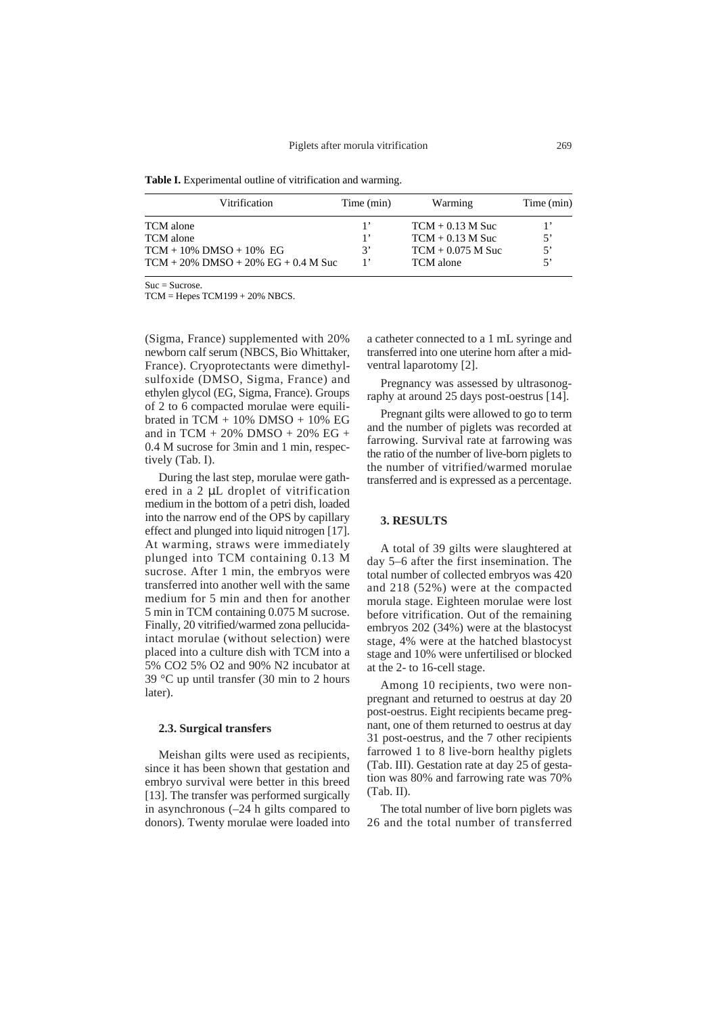Table I. Experimental outline of vitrification and warming.

| Vitrification                          | Time (min) | Warming             | Time (min) |
|----------------------------------------|------------|---------------------|------------|
| TCM alone                              |            | $TCM + 0.13 M$ Suc  | 1,         |
| TCM alone                              |            | $TCM + 0.13 M$ Suc  | 5'         |
| $TCM + 10\%$ DMSO + 10% EG             | 3'         | $TCM + 0.075 M$ Suc | 5'         |
| $TCM + 20\%$ DMSO + 20% EG + 0.4 M Suc |            | TCM alone           | 5'         |

 $S$ uc = Sucrose.

TCM = Hepes TCM199 + 20% NBCS.

(Sigma, France) supplemented with 20% newborn calf serum (NBCS, Bio Whittaker, France). Cryoprotectants were dimethylsulfoxide (DMSO, Sigma, France) and ethylen glycol (EG, Sigma, France). Groups of 2 to 6 compacted morulae were equilibrated in TCM + 10% DMSO + 10% EG and in TCM + 20% DMSO + 20% EG + 0.4 M sucrose for 3min and 1 min, respectively (Tab. I).

During the last step, morulae were gathered in a 2 µL droplet of vitrification medium in the bottom of a petri dish, loaded into the narrow end of the OPS by capillary effect and plunged into liquid nitrogen [17]. At warming, straws were immediately plunged into TCM containing 0.13 M sucrose. After 1 min, the embryos were transferred into another well with the same medium for 5 min and then for another 5 min in TCM containing 0.075 M sucrose. Finally, 20 vitrified/warmed zona pellucidaintact morulae (without selection) were placed into a culture dish with TCM into a 5% CO2 5% O2 and 90% N2 incubator at 39 °C up until transfer (30 min to 2 hours later).

#### **2.3. Surgical transfers**

Meishan gilts were used as recipients, since it has been shown that gestation and embryo survival were better in this breed [13]. The transfer was performed surgically in asynchronous (–24 h gilts compared to donors). Twenty morulae were loaded into a catheter connected to a 1 mL syringe and transferred into one uterine horn after a midventral laparotomy [2].

Pregnancy was assessed by ultrasonography at around 25 days post-oestrus [14].

Pregnant gilts were allowed to go to term and the number of piglets was recorded at farrowing. Survival rate at farrowing was the ratio of the number of live-born piglets to the number of vitrified/warmed morulae transferred and is expressed as a percentage.

### **3. RESULTS**

A total of 39 gilts were slaughtered at day 5–6 after the first insemination. The total number of collected embryos was 420 and 218 (52%) were at the compacted morula stage. Eighteen morulae were lost before vitrification. Out of the remaining embryos 202 (34%) were at the blastocyst stage, 4% were at the hatched blastocyst stage and 10% were unfertilised or blocked at the 2- to 16-cell stage.

Among 10 recipients, two were nonpregnant and returned to oestrus at day 20 post-oestrus. Eight recipients became pregnant, one of them returned to oestrus at day 31 post-oestrus, and the 7 other recipients farrowed 1 to 8 live-born healthy piglets (Tab. III). Gestation rate at day 25 of gestation was 80% and farrowing rate was 70% (Tab. II).

The total number of live born piglets was 26 and the total number of transferred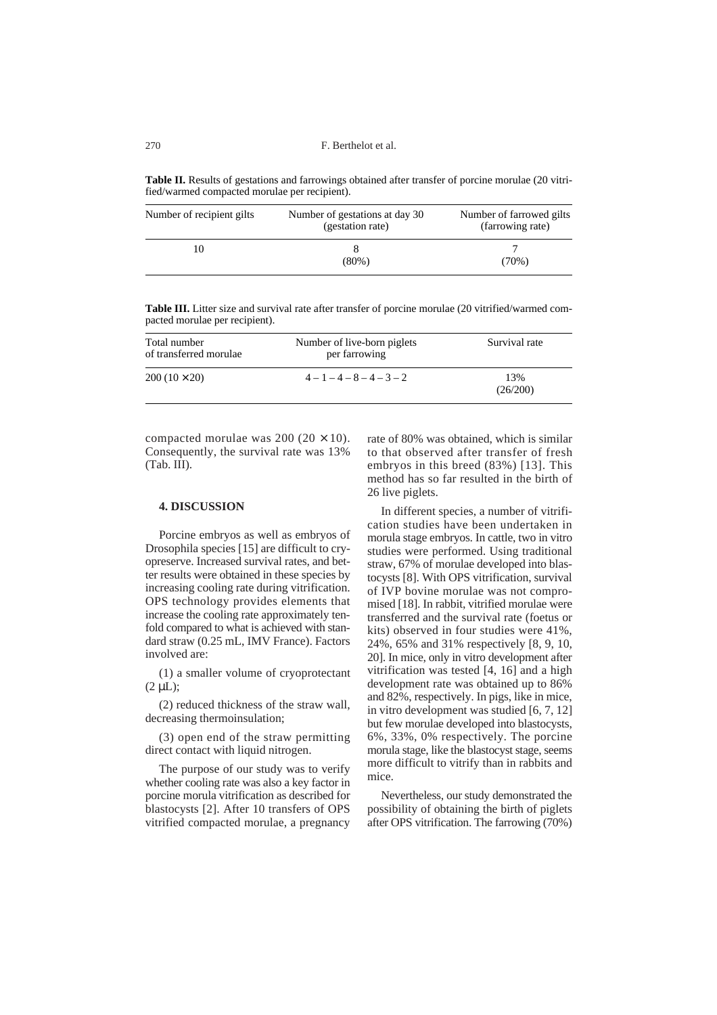**Table II.** Results of gestations and farrowings obtained after transfer of porcine morulae (20 vitrified/warmed compacted morulae per recipient).

| Number of recipient gilts | Number of gestations at day 30<br>(gestation rate) | Number of farrowed gilts<br>(farrowing rate) |
|---------------------------|----------------------------------------------------|----------------------------------------------|
|                           | $(80\%)$                                           | $(70\%)$                                     |

**Table III.** Litter size and survival rate after transfer of porcine morulae (20 vitrified/warmed compacted morulae per recipient).

| Total number<br>of transferred morulae | Number of live-born piglets<br>per farrowing | Survival rate   |
|----------------------------------------|----------------------------------------------|-----------------|
| $200(10 \times 20)$                    | $4-1-4-8-4-3-2$                              | 13%<br>(26/200) |

compacted morulae was  $200 (20 \times 10)$ . Consequently, the survival rate was 13% (Tab. III).

#### **4. DISCUSSION**

Porcine embryos as well as embryos of Drosophila species [15] are difficult to cryopreserve. Increased survival rates, and better results were obtained in these species by increasing cooling rate during vitrification. OPS technology provides elements that increase the cooling rate approximately tenfold compared to what is achieved with standard straw (0.25 mL, IMV France). Factors involved are:

(1) a smaller volume of cryoprotectant  $(2 \mu L)$ ;

(2) reduced thickness of the straw wall, decreasing thermoinsulation;

(3) open end of the straw permitting direct contact with liquid nitrogen.

The purpose of our study was to verify whether cooling rate was also a key factor in porcine morula vitrification as described for blastocysts [2]. After 10 transfers of OPS vitrified compacted morulae, a pregnancy rate of 80% was obtained, which is similar to that observed after transfer of fresh embryos in this breed (83%) [13]. This method has so far resulted in the birth of 26 live piglets.

In different species, a number of vitrification studies have been undertaken in morula stage embryos. In cattle, two in vitro studies were performed. Using traditional straw, 67% of morulae developed into blastocysts [8]. With OPS vitrification, survival of IVP bovine morulae was not compromised [18]. In rabbit, vitrified morulae were transferred and the survival rate (foetus or kits) observed in four studies were 41%, 24%, 65% and 31% respectively [8, 9, 10, 20]. In mice, only in vitro development after vitrification was tested [4, 16] and a high development rate was obtained up to 86% and 82%, respectively. In pigs, like in mice, in vitro development was studied [6, 7, 12] but few morulae developed into blastocysts, 6%, 33%, 0% respectively. The porcine morula stage, like the blastocyst stage, seems more difficult to vitrify than in rabbits and mice.

Nevertheless, our study demonstrated the possibility of obtaining the birth of piglets after OPS vitrification. The farrowing (70%)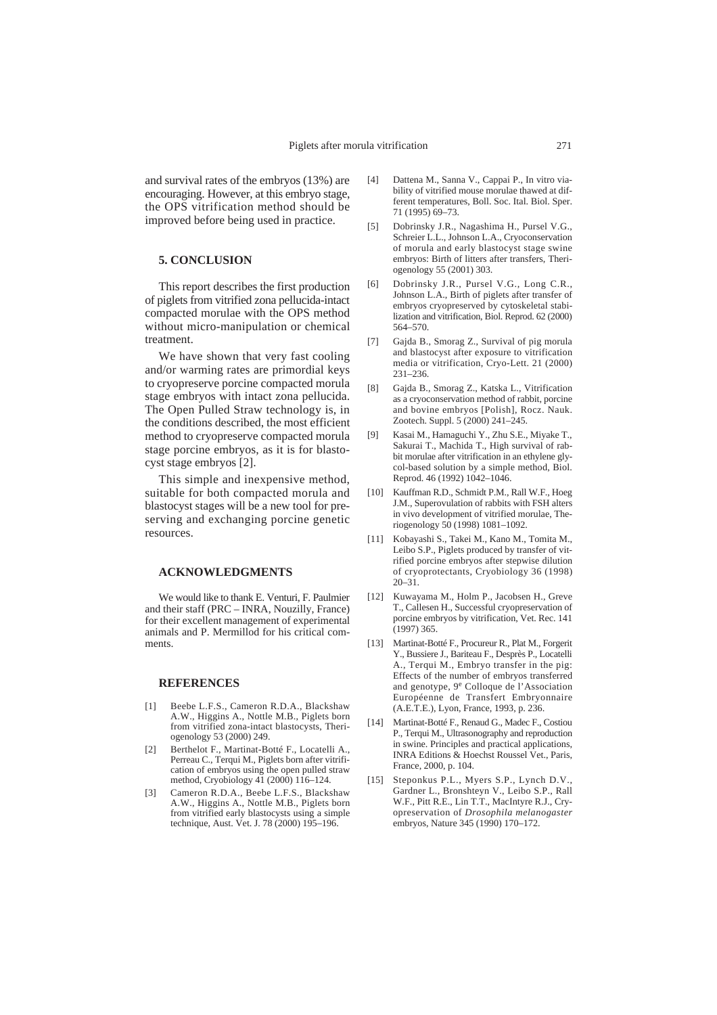and survival rates of the embryos (13%) are encouraging. However, at this embryo stage, the OPS vitrification method should be improved before being used in practice.

#### **5. CONCLUSION**

This report describes the first production of piglets from vitrified zona pellucida-intact compacted morulae with the OPS method without micro-manipulation or chemical treatment.

We have shown that very fast cooling and/or warming rates are primordial keys to cryopreserve porcine compacted morula stage embryos with intact zona pellucida. The Open Pulled Straw technology is, in the conditions described, the most efficient method to cryopreserve compacted morula stage porcine embryos, as it is for blastocyst stage embryos [2].

This simple and inexpensive method, suitable for both compacted morula and blastocyst stages will be a new tool for preserving and exchanging porcine genetic resources.

### **ACKNOWLEDGMENTS**

We would like to thank E. Venturi, F. Paulmier and their staff (PRC – INRA, Nouzilly, France) for their excellent management of experimental animals and P. Mermillod for his critical comments.

#### **REFERENCES**

- [1] Beebe L.F.S., Cameron R.D.A., Blackshaw A.W., Higgins A., Nottle M.B., Piglets born from vitrified zona-intact blastocysts, Theriogenology 53 (2000) 249.
- [2] Berthelot F., Martinat-Botté F., Locatelli A., Perreau C., Terqui M., Piglets born after vitrification of embryos using the open pulled straw method, Cryobiology 41 (2000) 116–124.
- [3] Cameron R.D.A., Beebe L.F.S., Blackshaw A.W., Higgins A., Nottle M.B., Piglets born from vitrified early blastocysts using a simple technique, Aust. Vet. J. 78 (2000) 195–196.
- [4] Dattena M., Sanna V., Cappai P., In vitro viability of vitrified mouse morulae thawed at different temperatures, Boll. Soc. Ital. Biol. Sper. 71 (1995) 69–73.
- [5] Dobrinsky J.R., Nagashima H., Pursel V.G., Schreier L.L., Johnson L.A., Cryoconservation of morula and early blastocyst stage swine embryos: Birth of litters after transfers, Theriogenology 55 (2001) 303.
- [6] Dobrinsky J.R., Pursel V.G., Long C.R., Johnson L.A., Birth of piglets after transfer of embryos cryopreserved by cytoskeletal stabilization and vitrification, Biol. Reprod. 62 (2000) 564–570.
- [7] Gajda B., Smorag Z., Survival of pig morula and blastocyst after exposure to vitrification media or vitrification, Cryo-Lett. 21 (2000) 231–236.
- [8] Gajda B., Smorag Z., Katska L., Vitrification as a cryoconservation method of rabbit, porcine and bovine embryos [Polish], Rocz. Nauk. Zootech. Suppl. 5 (2000) 241–245.
- [9] Kasai M., Hamaguchi Y., Zhu S.E., Miyake T., Sakurai T., Machida T., High survival of rabbit morulae after vitrification in an ethylene glycol-based solution by a simple method, Biol. Reprod. 46 (1992) 1042–1046.
- [10] Kauffman R.D., Schmidt P.M., Rall W.F., Hoeg J.M., Superovulation of rabbits with FSH alters in vivo development of vitrified morulae, Theriogenology 50 (1998) 1081–1092.
- [11] Kobayashi S., Takei M., Kano M., Tomita M., Leibo S.P., Piglets produced by transfer of vitrified porcine embryos after stepwise dilution of cryoprotectants, Cryobiology 36 (1998) 20–31.
- [12] Kuwayama M., Holm P., Jacobsen H., Greve T., Callesen H., Successful cryopreservation of porcine embryos by vitrification, Vet. Rec. 141 (1997) 365.
- [13] Martinat-Botté F., Procureur R., Plat M., Forgerit Y., Bussiere J., Bariteau F., Desprès P., Locatelli A., Terqui M., Embryo transfer in the pig: Effects of the number of embryos transferred and genotype, 9<sup>e</sup> Colloque de l'Association Européenne de Transfert Embryonnaire (A.E.T.E.), Lyon, France, 1993, p. 236.
- [14] Martinat-Botté F., Renaud G., Madec F., Costiou P., Terqui M., Ultrasonography and reproduction in swine. Principles and practical applications, INRA Editions & Hoechst Roussel Vet., Paris, France, 2000, p. 104.
- [15] Steponkus P.L., Myers S.P., Lynch D.V., Gardner L., Bronshteyn V., Leibo S.P., Rall W.F., Pitt R.E., Lin T.T., MacIntyre R.J., Cryopreservation of *Drosophila melanogaster* embryos, Nature 345 (1990) 170–172.